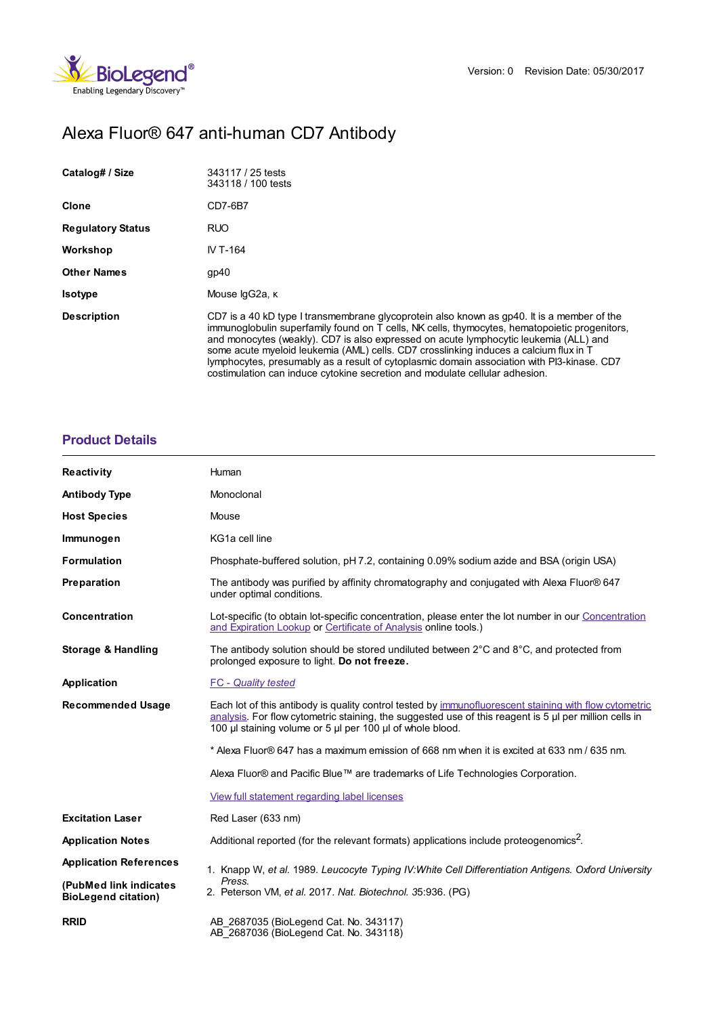

# Alexa Fluor® 647 anti-human CD7 Antibody

| Catalog# / Size          | 343117 / 25 tests<br>343118 / 100 tests                                                                                                                                                                                                                                                                                                                                                                                                                                                                                                                    |
|--------------------------|------------------------------------------------------------------------------------------------------------------------------------------------------------------------------------------------------------------------------------------------------------------------------------------------------------------------------------------------------------------------------------------------------------------------------------------------------------------------------------------------------------------------------------------------------------|
| Clone                    | CD7-6B7                                                                                                                                                                                                                                                                                                                                                                                                                                                                                                                                                    |
| <b>Regulatory Status</b> | <b>RUO</b>                                                                                                                                                                                                                                                                                                                                                                                                                                                                                                                                                 |
| Workshop                 | IV T-164                                                                                                                                                                                                                                                                                                                                                                                                                                                                                                                                                   |
| <b>Other Names</b>       | gp40                                                                                                                                                                                                                                                                                                                                                                                                                                                                                                                                                       |
| <b>Isotype</b>           | Mouse lgG2a, к                                                                                                                                                                                                                                                                                                                                                                                                                                                                                                                                             |
| <b>Description</b>       | CD7 is a 40 kD type I transmembrane glycoprotein also known as gp40. It is a member of the<br>immunoglobulin superfamily found on T cells, NK cells, thymocytes, hematopoietic progenitors,<br>and monocytes (weakly). CD7 is also expressed on acute lymphocytic leukemia (ALL) and<br>some acute myeloid leukemia (AML) cells. CD7 crosslinking induces a calcium flux in T<br>lymphocytes, presumably as a result of cytoplasmic domain association with PI3-kinase. CD7<br>costimulation can induce cytokine secretion and modulate cellular adhesion. |

## **[Product](https://www.biolegend.com/en-gb/products/alexa-fluor-647-anti-human-cd7-antibody-14592?pdf=true&displayInline=true&leftRightMargin=15&topBottomMargin=15&filename=Alexa Fluor%EF%BF%BD%EF%BF%BD 647 anti-human CD7 Antibody.pdf#productDetails) Details**

| <b>Reactivity</b>                                    | Human                                                                                                                                                                                                                                                                            |
|------------------------------------------------------|----------------------------------------------------------------------------------------------------------------------------------------------------------------------------------------------------------------------------------------------------------------------------------|
| <b>Antibody Type</b>                                 | Monoclonal                                                                                                                                                                                                                                                                       |
| <b>Host Species</b>                                  | Mouse                                                                                                                                                                                                                                                                            |
| Immunogen                                            | KG1a cell line                                                                                                                                                                                                                                                                   |
| <b>Formulation</b>                                   | Phosphate-buffered solution, pH 7.2, containing 0.09% sodium azide and BSA (origin USA)                                                                                                                                                                                          |
| Preparation                                          | The antibody was purified by affinity chromatography and conjugated with Alexa Fluor® 647<br>under optimal conditions.                                                                                                                                                           |
| <b>Concentration</b>                                 | Lot-specific (to obtain lot-specific concentration, please enter the lot number in our Concentration<br>and Expiration Lookup or Certificate of Analysis online tools.)                                                                                                          |
| <b>Storage &amp; Handling</b>                        | The antibody solution should be stored undiluted between $2^{\circ}$ C and $8^{\circ}$ C, and protected from<br>prolonged exposure to light. Do not freeze.                                                                                                                      |
| Application                                          | <b>FC</b> - Quality tested                                                                                                                                                                                                                                                       |
| <b>Recommended Usage</b>                             | Each lot of this antibody is quality control tested by immunofluorescent staining with flow cytometric<br>analysis. For flow cytometric staining, the suggested use of this reagent is $5 \mu$ per million cells in<br>100 µl staining volume or 5 µl per 100 µl of whole blood. |
|                                                      | * Alexa Fluor® 647 has a maximum emission of 668 nm when it is excited at 633 nm / 635 nm.                                                                                                                                                                                       |
|                                                      | Alexa Fluor® and Pacific Blue™ are trademarks of Life Technologies Corporation.                                                                                                                                                                                                  |
|                                                      | View full statement regarding label licenses                                                                                                                                                                                                                                     |
| <b>Excitation Laser</b>                              | Red Laser (633 nm)                                                                                                                                                                                                                                                               |
| <b>Application Notes</b>                             | Additional reported (for the relevant formats) applications include proteogenomics <sup>2</sup> .                                                                                                                                                                                |
| <b>Application References</b>                        | 1. Knapp W, et al. 1989. Leucocyte Typing IV: White Cell Differentiation Antigens. Oxford University                                                                                                                                                                             |
| (PubMed link indicates<br><b>BioLegend citation)</b> | Press.<br>2. Peterson VM, et al. 2017. Nat. Biotechnol. 35:936. (PG)                                                                                                                                                                                                             |
| <b>RRID</b>                                          | AB 2687035 (BioLegend Cat. No. 343117)<br>AB 2687036 (BioLegend Cat. No. 343118)                                                                                                                                                                                                 |